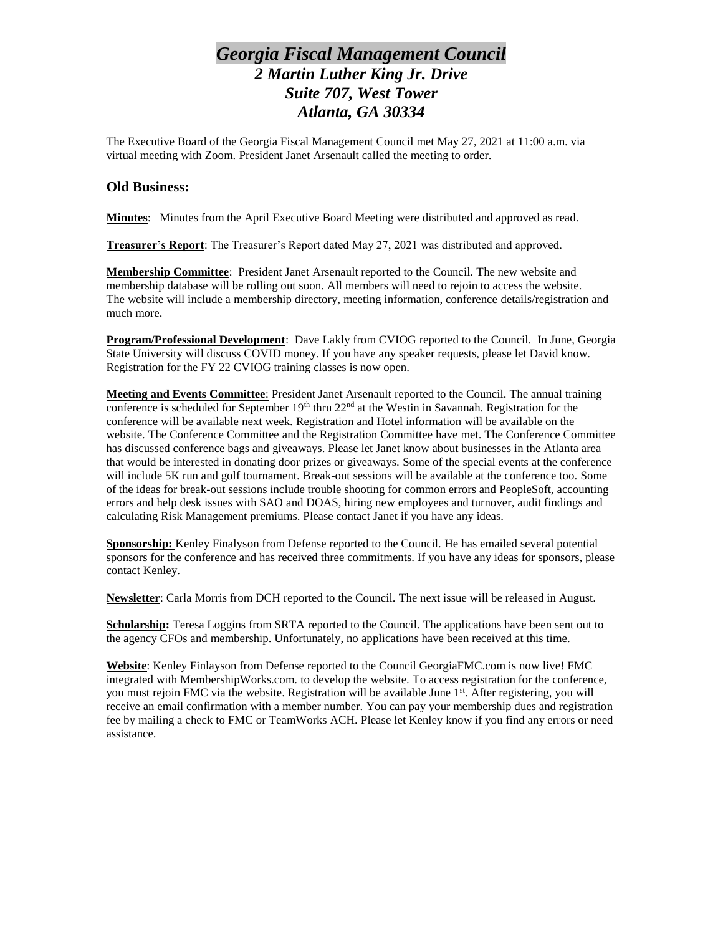## *Georgia Fiscal Management Council 2 Martin Luther King Jr. Drive Suite 707, West Tower Atlanta, GA 30334*

The Executive Board of the Georgia Fiscal Management Council met May 27, 2021 at 11:00 a.m. via virtual meeting with Zoom. President Janet Arsenault called the meeting to order.

## **Old Business:**

**Minutes**: Minutes from the April Executive Board Meeting were distributed and approved as read.

**Treasurer's Report**: The Treasurer's Report dated May 27, 2021 was distributed and approved.

**Membership Committee**: President Janet Arsenault reported to the Council. The new website and membership database will be rolling out soon. All members will need to rejoin to access the website. The website will include a membership directory, meeting information, conference details/registration and much more.

**Program/Professional Development**: Dave Lakly from CVIOG reported to the Council. In June, Georgia State University will discuss COVID money. If you have any speaker requests, please let David know. Registration for the FY 22 CVIOG training classes is now open.

**Meeting and Events Committee**: President Janet Arsenault reported to the Council. The annual training conference is scheduled for September  $19<sup>th</sup>$  thru  $22<sup>nd</sup>$  at the Westin in Savannah. Registration for the conference will be available next week. Registration and Hotel information will be available on the website. The Conference Committee and the Registration Committee have met. The Conference Committee has discussed conference bags and giveaways. Please let Janet know about businesses in the Atlanta area that would be interested in donating door prizes or giveaways. Some of the special events at the conference will include 5K run and golf tournament. Break-out sessions will be available at the conference too. Some of the ideas for break-out sessions include trouble shooting for common errors and PeopleSoft, accounting errors and help desk issues with SAO and DOAS, hiring new employees and turnover, audit findings and calculating Risk Management premiums. Please contact Janet if you have any ideas.

**Sponsorship:** Kenley Finalyson from Defense reported to the Council. He has emailed several potential sponsors for the conference and has received three commitments. If you have any ideas for sponsors, please contact Kenley.

**Newsletter**: Carla Morris from DCH reported to the Council. The next issue will be released in August.

**Scholarship:** Teresa Loggins from SRTA reported to the Council. The applications have been sent out to the agency CFOs and membership. Unfortunately, no applications have been received at this time.

**Website**: Kenley Finlayson from Defense reported to the Council GeorgiaFMC.com is now live! FMC integrated with MembershipWorks.com. to develop the website. To access registration for the conference, you must rejoin FMC via the website. Registration will be available June 1<sup>st</sup>. After registering, you will receive an email confirmation with a member number. You can pay your membership dues and registration fee by mailing a check to FMC or TeamWorks ACH. Please let Kenley know if you find any errors or need assistance.